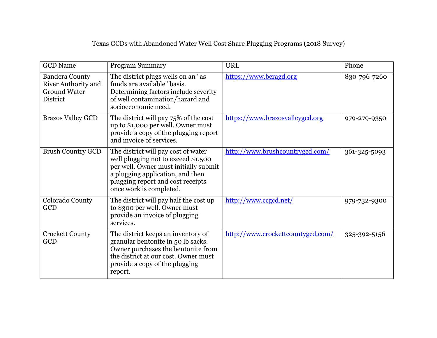## Texas GCDs with Abandoned Water Well Cost Share Plugging Programs (2018 Survey)

| <b>GCD</b> Name                                                                        | <b>Program Summary</b>                                                                                                                                                                                                  | <b>URL</b>                        | Phone        |
|----------------------------------------------------------------------------------------|-------------------------------------------------------------------------------------------------------------------------------------------------------------------------------------------------------------------------|-----------------------------------|--------------|
| <b>Bandera County</b><br><b>River Authority and</b><br><b>Ground Water</b><br>District | The district plugs wells on an "as"<br>funds are available" basis.<br>Determining factors include severity<br>of well contamination/hazard and<br>socioeconomic need.                                                   | https://www.bcragd.org            | 830-796-7260 |
| <b>Brazos Valley GCD</b>                                                               | The district will pay 75% of the cost<br>up to \$1,000 per well. Owner must<br>provide a copy of the plugging report<br>and invoice of services.                                                                        | https://www.brazosvalleygcd.org   | 979-279-9350 |
| <b>Brush Country GCD</b>                                                               | The district will pay cost of water<br>well plugging not to exceed \$1,500<br>per well. Owner must initially submit<br>a plugging application, and then<br>plugging report and cost receipts<br>once work is completed. | http://www.brushcountrygcd.com/   | 361-325-5093 |
| Colorado County<br>GCD                                                                 | The district will pay half the cost up<br>to \$300 per well. Owner must<br>provide an invoice of plugging<br>services.                                                                                                  | http://www.ccgcd.net/             | 979-732-9300 |
| <b>Crockett County</b><br>GCD                                                          | The district keeps an inventory of<br>granular bentonite in 50 lb sacks.<br>Owner purchases the bentonite from<br>the district at our cost. Owner must<br>provide a copy of the plugging<br>report.                     | http://www.crockettcountygcd.com/ | 325-392-5156 |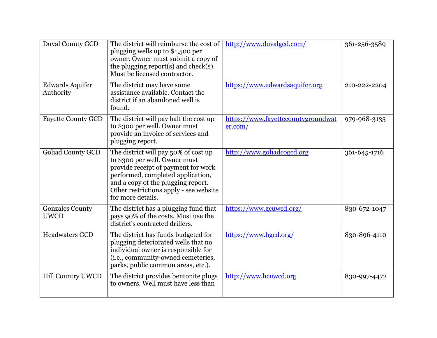| <b>Duval County GCD</b>               | The district will reimburse the cost of<br>plugging wells up to \$1,500 per<br>owner. Owner must submit a copy of<br>the plugging report(s) and check(s).<br>Must be licensed contractor.                                                              | http://www.duvalgcd.com/                      | 361-256-3589 |
|---------------------------------------|--------------------------------------------------------------------------------------------------------------------------------------------------------------------------------------------------------------------------------------------------------|-----------------------------------------------|--------------|
| <b>Edwards Aquifer</b><br>Authority   | The district may have some<br>assistance available. Contact the<br>district if an abandoned well is<br>found.                                                                                                                                          | https://www.edwardsaquifer.org                | 210-222-2204 |
| <b>Fayette County GCD</b>             | The district will pay half the cost up<br>to \$300 per well. Owner must<br>provide an invoice of services and<br>plugging report.                                                                                                                      | https://www.fayettecountygroundwat<br>er.com/ | 979-968-3135 |
| <b>Goliad County GCD</b>              | The district will pay 50% of cost up<br>to \$300 per well. Owner must<br>provide receipt of payment for work<br>performed, completed application,<br>and a copy of the plugging report.<br>Other restrictions apply - see website<br>for more details. | http://www.goliadcogcd.org                    | 361-645-1716 |
| <b>Gonzales County</b><br><b>UWCD</b> | The district has a plugging fund that<br>pays 90% of the costs. Must use the<br>district's contracted drillers.                                                                                                                                        | https://www.gcuwcd.org/                       | 830-672-1047 |
| <b>Headwaters GCD</b>                 | The district has funds budgeted for<br>plugging deteriorated wells that no<br>individual owner is responsible for<br>(i.e., community-owned cemeteries,<br>parks, public common areas, etc.).                                                          | https://www.hgcd.org/                         | 830-896-4110 |
| <b>Hill Country UWCD</b>              | The district provides bentonite plugs<br>to owners. Well must have less than                                                                                                                                                                           | http://www.hcuwcd.org                         | 830-997-4472 |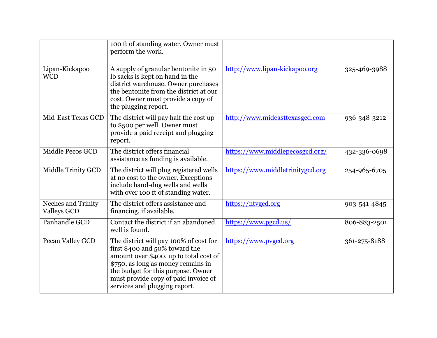|                                                 | 100 ft of standing water. Owner must<br>perform the work.                                                                                                                                                                                                               |                                  |              |
|-------------------------------------------------|-------------------------------------------------------------------------------------------------------------------------------------------------------------------------------------------------------------------------------------------------------------------------|----------------------------------|--------------|
| Lipan-Kickapoo<br><b>WCD</b>                    | A supply of granular bentonite in 50<br>Ib sacks is kept on hand in the<br>district warehouse. Owner purchases<br>the bentonite from the district at our<br>cost. Owner must provide a copy of<br>the plugging report.                                                  | http://www.lipan-kickapoo.org    | 325-469-3988 |
| Mid-East Texas GCD                              | The district will pay half the cost up<br>to \$500 per well. Owner must<br>provide a paid receipt and plugging<br>report.                                                                                                                                               | http://www.mideasttexasgcd.com   | 936-348-3212 |
| Middle Pecos GCD                                | The district offers financial<br>assistance as funding is available.                                                                                                                                                                                                    | https://www.middlepecosgcd.org/  | 432-336-0698 |
| Middle Trinity GCD                              | The district will plug registered wells<br>at no cost to the owner. Exceptions<br>include hand-dug wells and wells<br>with over 100 ft of standing water.                                                                                                               | https://www.middletrinitygcd.org | 254-965-6705 |
| <b>Neches and Trinity</b><br><b>Valleys GCD</b> | The district offers assistance and<br>financing, if available.                                                                                                                                                                                                          | https://ntvgcd.org               | 903-541-4845 |
| Panhandle GCD                                   | Contact the district if an abandoned<br>well is found.                                                                                                                                                                                                                  | https://www.pgcd.us/             | 806-883-2501 |
| Pecan Valley GCD                                | The district will pay 100% of cost for<br>first \$400 and 50% toward the<br>amount over \$400, up to total cost of<br>\$750, as long as money remains in<br>the budget for this purpose. Owner<br>must provide copy of paid invoice of<br>services and plugging report. | https://www.pvgcd.org            | 361-275-8188 |